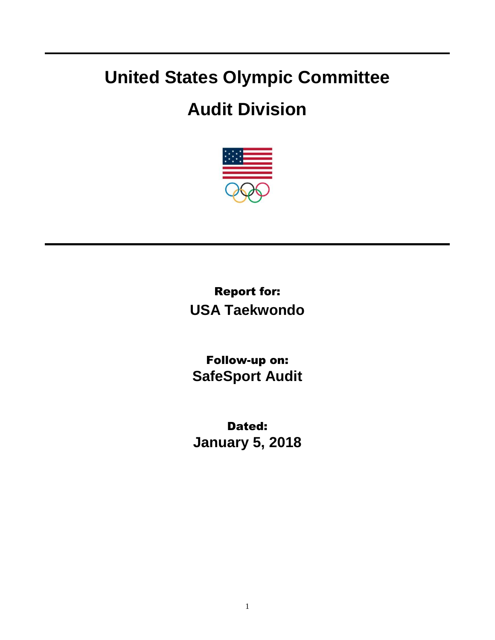## **United States Olympic Committee**

## **Audit Division**



Report for: **USA Taekwondo**

Follow-up on: **SafeSport Audit**

Dated: **January 5, 2018**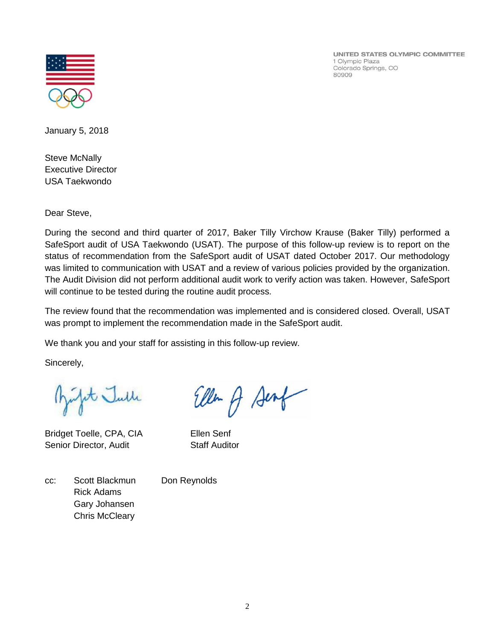

UNITED STATES OLYMPIC COMMITTEE 1 Olympic Plaza Colorado Springs, CO 80909

January 5, 2018

Steve McNally Executive Director USA Taekwondo

Dear Steve,

During the second and third quarter of 2017, Baker Tilly Virchow Krause (Baker Tilly) performed a SafeSport audit of USA Taekwondo (USAT). The purpose of this follow-up review is to report on the status of recommendation from the SafeSport audit of USAT dated October 2017. Our methodology was limited to communication with USAT and a review of various policies provided by the organization. The Audit Division did not perform additional audit work to verify action was taken. However, SafeSport will continue to be tested during the routine audit process.

The review found that the recommendation was implemented and is considered closed. Overall, USAT was prompt to implement the recommendation made in the SafeSport audit.

We thank you and your staff for assisting in this follow-up review.

Sincerely,

fit Julle

Bridget Toelle, CPA, CIA Ellen Senf Senior Director, Audit Staff Auditor

Eller A Sent

cc: Scott Blackmun Don Reynolds Rick Adams Gary Johansen Chris McCleary